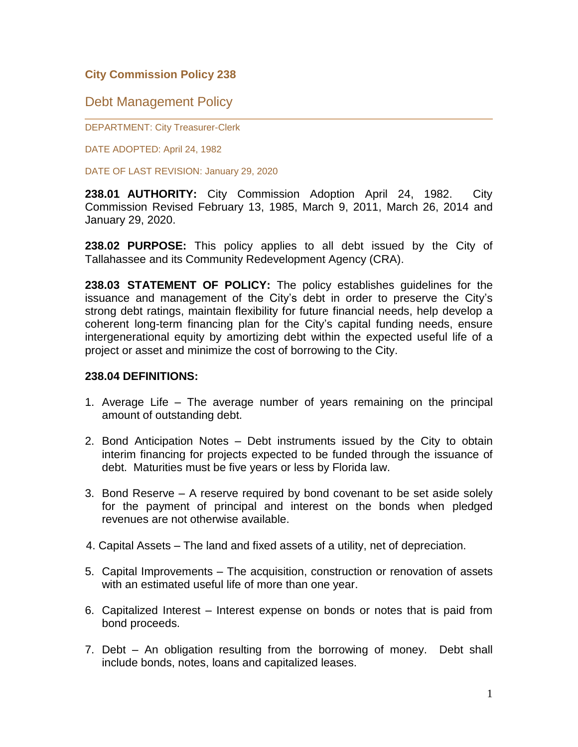### **City Commission Policy 238**

# Debt Management Policy

DEPARTMENT: City Treasurer-Clerk

DATE ADOPTED: April 24, 1982

DATE OF LAST REVISION: January 29, 2020

**238.01 AUTHORITY:** City Commission Adoption April 24, 1982. City Commission Revised February 13, 1985, March 9, 2011, March 26, 2014 and January 29, 2020.

**238.02 PURPOSE:** This policy applies to all debt issued by the City of Tallahassee and its Community Redevelopment Agency (CRA).

**238.03 STATEMENT OF POLICY:** The policy establishes guidelines for the issuance and management of the City's debt in order to preserve the City's strong debt ratings, maintain flexibility for future financial needs, help develop a coherent long-term financing plan for the City's capital funding needs, ensure intergenerational equity by amortizing debt within the expected useful life of a project or asset and minimize the cost of borrowing to the City.

#### **238.04 DEFINITIONS:**

- 1. Average Life The average number of years remaining on the principal amount of outstanding debt.
- 2. Bond Anticipation Notes Debt instruments issued by the City to obtain interim financing for projects expected to be funded through the issuance of debt. Maturities must be five years or less by Florida law.
- 3. Bond Reserve A reserve required by bond covenant to be set aside solely for the payment of principal and interest on the bonds when pledged revenues are not otherwise available.
- 4. Capital Assets The land and fixed assets of a utility, net of depreciation.
- 5. Capital Improvements The acquisition, construction or renovation of assets with an estimated useful life of more than one year.
- 6. Capitalized Interest Interest expense on bonds or notes that is paid from bond proceeds.
- 7. Debt An obligation resulting from the borrowing of money. Debt shall include bonds, notes, loans and capitalized leases.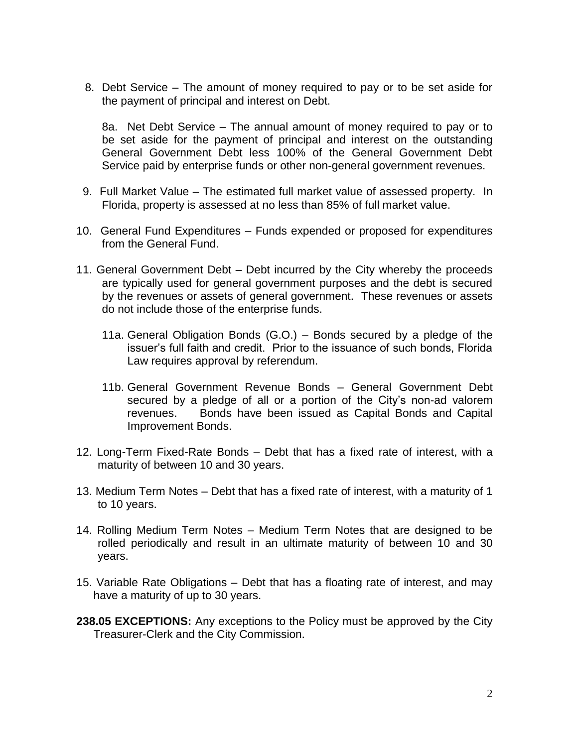8. Debt Service – The amount of money required to pay or to be set aside for the payment of principal and interest on Debt.

8a. Net Debt Service – The annual amount of money required to pay or to be set aside for the payment of principal and interest on the outstanding General Government Debt less 100% of the General Government Debt Service paid by enterprise funds or other non-general government revenues.

- 9. Full Market Value The estimated full market value of assessed property. In Florida, property is assessed at no less than 85% of full market value.
- 10. General Fund Expenditures Funds expended or proposed for expenditures from the General Fund.
- 11. General Government Debt Debt incurred by the City whereby the proceeds are typically used for general government purposes and the debt is secured by the revenues or assets of general government. These revenues or assets do not include those of the enterprise funds.
	- 11a. General Obligation Bonds (G.O.) Bonds secured by a pledge of the issuer's full faith and credit. Prior to the issuance of such bonds, Florida Law requires approval by referendum.
	- 11b. General Government Revenue Bonds General Government Debt secured by a pledge of all or a portion of the City's non-ad valorem revenues. Bonds have been issued as Capital Bonds and Capital Improvement Bonds.
- 12. Long-Term Fixed-Rate Bonds Debt that has a fixed rate of interest, with a maturity of between 10 and 30 years.
- 13. Medium Term Notes Debt that has a fixed rate of interest, with a maturity of 1 to 10 years.
- 14. Rolling Medium Term Notes Medium Term Notes that are designed to be rolled periodically and result in an ultimate maturity of between 10 and 30 years.
- 15. Variable Rate Obligations Debt that has a floating rate of interest, and may have a maturity of up to 30 years.
- **238.05 EXCEPTIONS:** Any exceptions to the Policy must be approved by the City Treasurer-Clerk and the City Commission.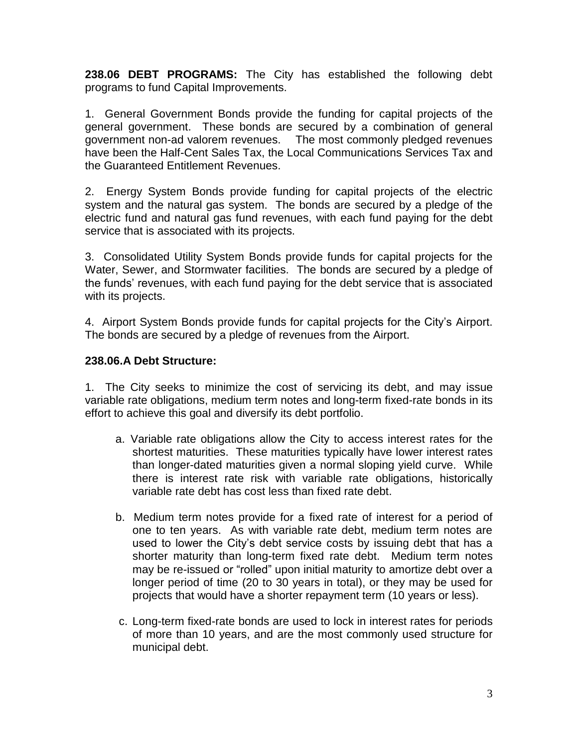**238.06 DEBT PROGRAMS:** The City has established the following debt programs to fund Capital Improvements.

1. General Government Bonds provide the funding for capital projects of the general government. These bonds are secured by a combination of general government non-ad valorem revenues. The most commonly pledged revenues have been the Half-Cent Sales Tax, the Local Communications Services Tax and the Guaranteed Entitlement Revenues.

2. Energy System Bonds provide funding for capital projects of the electric system and the natural gas system. The bonds are secured by a pledge of the electric fund and natural gas fund revenues, with each fund paying for the debt service that is associated with its projects.

3. Consolidated Utility System Bonds provide funds for capital projects for the Water, Sewer, and Stormwater facilities. The bonds are secured by a pledge of the funds' revenues, with each fund paying for the debt service that is associated with its projects.

4. Airport System Bonds provide funds for capital projects for the City's Airport. The bonds are secured by a pledge of revenues from the Airport.

# **238.06.A Debt Structure:**

1. The City seeks to minimize the cost of servicing its debt, and may issue variable rate obligations, medium term notes and long-term fixed-rate bonds in its effort to achieve this goal and diversify its debt portfolio.

- a. Variable rate obligations allow the City to access interest rates for the shortest maturities. These maturities typically have lower interest rates than longer-dated maturities given a normal sloping yield curve. While there is interest rate risk with variable rate obligations, historically variable rate debt has cost less than fixed rate debt.
- b. Medium term notes provide for a fixed rate of interest for a period of one to ten years. As with variable rate debt, medium term notes are used to lower the City's debt service costs by issuing debt that has a shorter maturity than long-term fixed rate debt. Medium term notes may be re-issued or "rolled" upon initial maturity to amortize debt over a longer period of time (20 to 30 years in total), or they may be used for projects that would have a shorter repayment term (10 years or less).
- c. Long-term fixed-rate bonds are used to lock in interest rates for periods of more than 10 years, and are the most commonly used structure for municipal debt.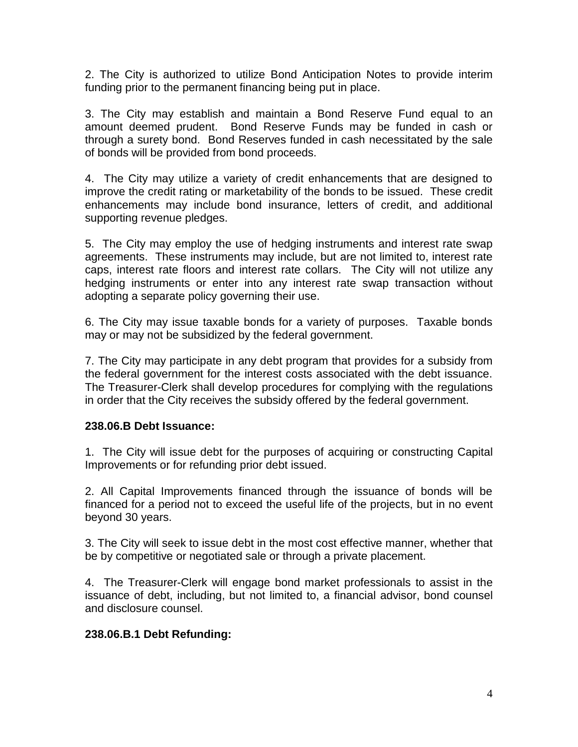2. The City is authorized to utilize Bond Anticipation Notes to provide interim funding prior to the permanent financing being put in place.

3. The City may establish and maintain a Bond Reserve Fund equal to an amount deemed prudent. Bond Reserve Funds may be funded in cash or through a surety bond. Bond Reserves funded in cash necessitated by the sale of bonds will be provided from bond proceeds.

4. The City may utilize a variety of credit enhancements that are designed to improve the credit rating or marketability of the bonds to be issued. These credit enhancements may include bond insurance, letters of credit, and additional supporting revenue pledges.

5. The City may employ the use of hedging instruments and interest rate swap agreements. These instruments may include, but are not limited to, interest rate caps, interest rate floors and interest rate collars. The City will not utilize any hedging instruments or enter into any interest rate swap transaction without adopting a separate policy governing their use.

6. The City may issue taxable bonds for a variety of purposes. Taxable bonds may or may not be subsidized by the federal government.

7. The City may participate in any debt program that provides for a subsidy from the federal government for the interest costs associated with the debt issuance. The Treasurer-Clerk shall develop procedures for complying with the regulations in order that the City receives the subsidy offered by the federal government.

### **238.06.B Debt Issuance:**

1. The City will issue debt for the purposes of acquiring or constructing Capital Improvements or for refunding prior debt issued.

2. All Capital Improvements financed through the issuance of bonds will be financed for a period not to exceed the useful life of the projects, but in no event beyond 30 years.

3. The City will seek to issue debt in the most cost effective manner, whether that be by competitive or negotiated sale or through a private placement.

4. The Treasurer-Clerk will engage bond market professionals to assist in the issuance of debt, including, but not limited to, a financial advisor, bond counsel and disclosure counsel.

### **238.06.B.1 Debt Refunding:**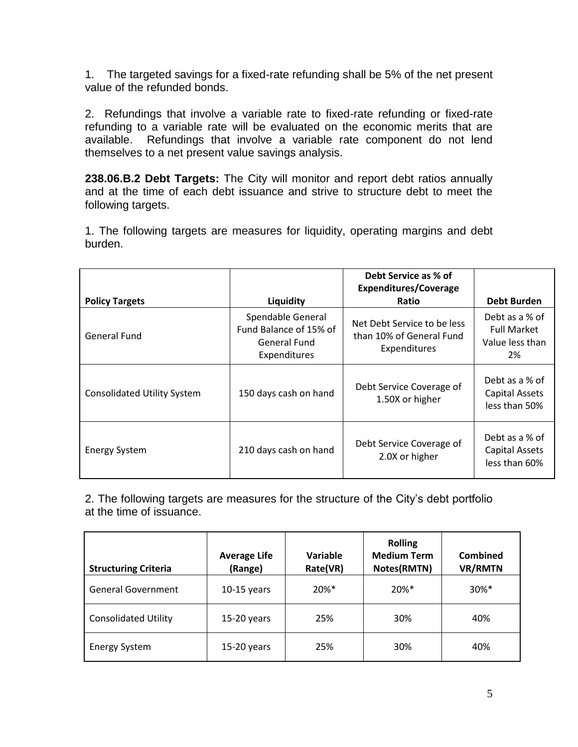1. The targeted savings for a fixed-rate refunding shall be 5% of the net present value of the refunded bonds.

2. Refundings that involve a variable rate to fixed-rate refunding or fixed-rate refunding to a variable rate will be evaluated on the economic merits that are available. Refundings that involve a variable rate component do not lend themselves to a net present value savings analysis.

**238.06.B.2 Debt Targets:** The City will monitor and report debt ratios annually and at the time of each debt issuance and strive to structure debt to meet the following targets.

1. The following targets are measures for liquidity, operating margins and debt burden.

|                                    |                                                                             | Debt Service as % of<br><b>Expenditures/Coverage</b>                    |                                                               |
|------------------------------------|-----------------------------------------------------------------------------|-------------------------------------------------------------------------|---------------------------------------------------------------|
| <b>Policy Targets</b>              | Liquidity                                                                   | Ratio                                                                   | <b>Debt Burden</b>                                            |
| <b>General Fund</b>                | Spendable General<br>Fund Balance of 15% of<br>General Fund<br>Expenditures | Net Debt Service to be less<br>than 10% of General Fund<br>Expenditures | Debt as a % of<br><b>Full Market</b><br>Value less than<br>2% |
| <b>Consolidated Utility System</b> | 150 days cash on hand                                                       | Debt Service Coverage of<br>1.50X or higher                             | Debt as a % of<br>Capital Assets<br>less than 50%             |
| <b>Energy System</b>               | 210 days cash on hand                                                       | Debt Service Coverage of<br>2.0X or higher                              | Debt as a % of<br>Capital Assets<br>less than 60%             |

2. The following targets are measures for the structure of the City's debt portfolio at the time of issuance.

| <b>Structuring Criteria</b> | <b>Average Life</b><br>(Range) | Variable<br>Rate(VR) | <b>Rolling</b><br><b>Medium Term</b><br>Notes(RMTN) | Combined<br><b>VR/RMTN</b> |
|-----------------------------|--------------------------------|----------------------|-----------------------------------------------------|----------------------------|
| <b>General Government</b>   | $10-15$ years                  | $20\%$ <sup>*</sup>  | 20%*                                                | $30\%$ *                   |
| <b>Consolidated Utility</b> | $15-20$ years                  | 25%                  | 30%                                                 | 40%                        |
| <b>Energy System</b>        | $15-20$ years                  | 25%                  | 30%                                                 | 40%                        |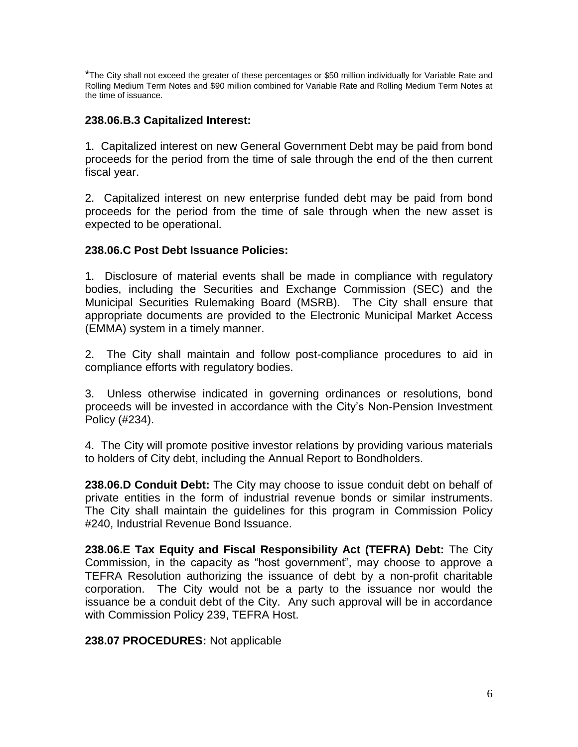\*The City shall not exceed the greater of these percentages or \$50 million individually for Variable Rate and Rolling Medium Term Notes and \$90 million combined for Variable Rate and Rolling Medium Term Notes at the time of issuance.

### **238.06.B.3 Capitalized Interest:**

1. Capitalized interest on new General Government Debt may be paid from bond proceeds for the period from the time of sale through the end of the then current fiscal year.

2. Capitalized interest on new enterprise funded debt may be paid from bond proceeds for the period from the time of sale through when the new asset is expected to be operational.

### **238.06.C Post Debt Issuance Policies:**

1. Disclosure of material events shall be made in compliance with regulatory bodies, including the Securities and Exchange Commission (SEC) and the Municipal Securities Rulemaking Board (MSRB). The City shall ensure that appropriate documents are provided to the Electronic Municipal Market Access (EMMA) system in a timely manner.

2. The City shall maintain and follow post-compliance procedures to aid in compliance efforts with regulatory bodies.

3. Unless otherwise indicated in governing ordinances or resolutions, bond proceeds will be invested in accordance with the City's Non-Pension Investment Policy (#234).

4. The City will promote positive investor relations by providing various materials to holders of City debt, including the Annual Report to Bondholders.

**238.06.D Conduit Debt:** The City may choose to issue conduit debt on behalf of private entities in the form of industrial revenue bonds or similar instruments. The City shall maintain the guidelines for this program in Commission Policy #240, Industrial Revenue Bond Issuance.

**238.06.E Tax Equity and Fiscal Responsibility Act (TEFRA) Debt:** The City Commission, in the capacity as "host government", may choose to approve a TEFRA Resolution authorizing the issuance of debt by a non-profit charitable corporation. The City would not be a party to the issuance nor would the issuance be a conduit debt of the City. Any such approval will be in accordance with Commission Policy 239, TEFRA Host.

### **238.07 PROCEDURES:** Not applicable